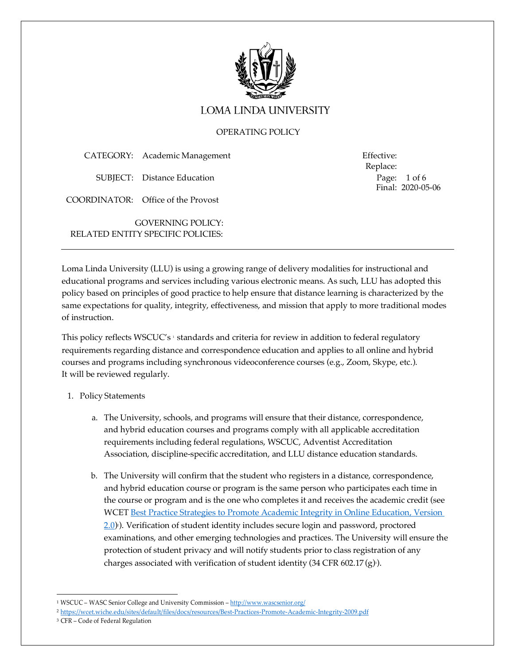

# **LOMA LINDA UNIVERSITY**

# OPERATING POLICY

| CATEGORY: Academic Management | Effective: |
|-------------------------------|------------|
|                               |            |

SUBJECT: Distance Education

COORDINATOR: Office of the Provost

GOVERNING POLICY: RELATED ENTITY SPECIFIC POLICIES: Replace: Page: 1 of 6 Final: 2020-05-06

Loma Linda University (LLU) is using a growing range of delivery modalities for instructional and educational programs and services including various electronic means. As such, LLU has adopted this policy based on principles of good practice to help ensure that distance learning is characterized by the same expectations for quality, integrity, effectiveness, and mission that apply to more traditional modes of instruction.

This policy reflects WSCUC's <sup>1</sup> standards and criteria for review in addition to federal regulatory requirements regarding distance and correspondence education and applies to all online and hybrid courses and programs including synchronous videoconference courses (e.g., Zoom, Skype, etc.). It will be reviewed regularly.

## 1. Policy Statements

- a. The University, schools, and programs will ensure that their distance, correspondence, and hybrid education courses and programs comply with all applicable accreditation requirements including federal regulations, WSCUC, Adventist Accreditation Association, discipline-specific accreditation, and LLU distance education standards.
- b. The University will confirm that the student who registers in a distance, correspondence, and hybrid education course or program is the same person who participates each time in the course or program and is the one who completes it and receives the academic credit (see WCET Best Practice Strategies to Promote Academic Integrity in Online Education, Version 2.0). Verification of student identity includes secure login and password, proctored examinations, and other emerging technologies and practices. The University will ensure the protection of student privacy and will notify students prior to class registration of any charges associated with verification of student identity (34 CFR 602.17(g) ).

<sup>1</sup> WSCUC – WASC Senior College and University Commission – http://www.wascsenior.org/

<sup>2</sup> https://wcet.wiche.edu/sites/default/files/docs/resources/Best-Practices-Promote-Academic-Integrity-2009.pdf

<sup>3</sup> CFR – Code of Federal Regulation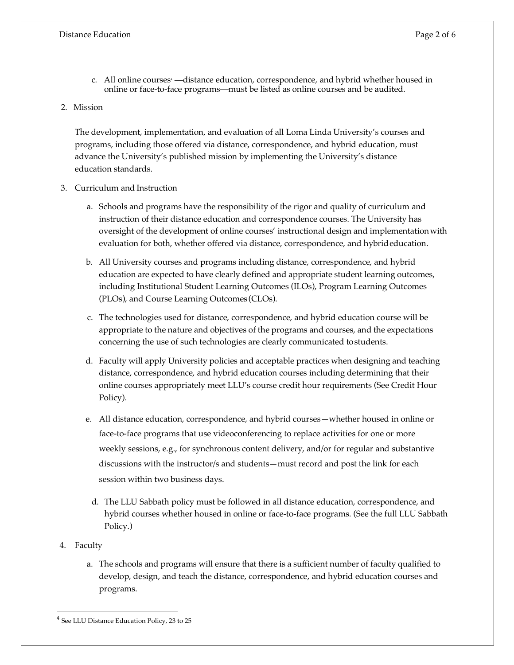- c. All online courses —distance education, correspondence, and hybrid whether housed in online or face-to-face programs—must be listed as online courses and be audited.
- 2. Mission

The development, implementation, and evaluation of all Loma Linda University's courses and programs, including those offered via distance, correspondence, and hybrid education, must advance the University's published mission by implementing the University's distance education standards.

- 3. Curriculum and Instruction
	- a. Schools and programs have the responsibility of the rigor and quality of curriculum and instruction of their distance education and correspondence courses. The University has oversight of the development of online courses' instructional design and implementation with evaluation for both, whether offered via distance, correspondence, and hybrideducation.
	- b. All University courses and programs including distance, correspondence, and hybrid education are expected to have clearly defined and appropriate student learning outcomes, including Institutional Student Learning Outcomes (ILOs), Program Learning Outcomes (PLOs), and Course Learning Outcomes (CLOs).
	- c. The technologies used for distance, correspondence, and hybrid education course will be appropriate to the nature and objectives of the programs and courses, and the expectations concerning the use of such technologies are clearly communicated tostudents.
	- d. Faculty will apply University policies and acceptable practices when designing and teaching distance, correspondence, and hybrid education courses including determining that their online courses appropriately meet LLU's course credit hour requirements (See Credit Hour Policy).
	- e. All distance education, correspondence, and hybrid courses—whether housed in online or face-to-face programs that use videoconferencing to replace activities for one or more weekly sessions, e.g., for synchronous content delivery, and/or for regular and substantive discussions with the instructor/s and students—must record and post the link for each session within two business days.
		- d. The LLU Sabbath policy must be followed in all distance education, correspondence, and hybrid courses whether housed in online or face-to-face programs. (See the full LLU Sabbath Policy.)
- 4. Faculty

 $\overline{a}$ 

a. The schools and programs will ensure that there is a sufficient number of faculty qualified to develop, design, and teach the distance, correspondence, and hybrid education courses and programs.

<sup>4</sup> See LLU Distance Education Policy, 23 to 25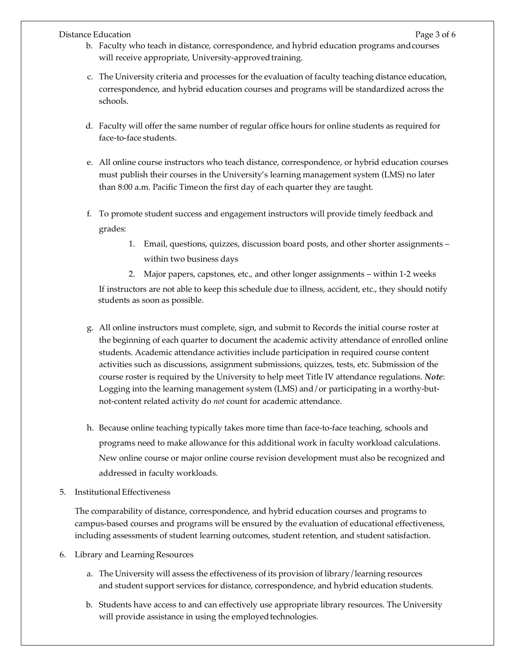# Distance Education **Page 3 of 6** of  $\overline{P}$

- b. Faculty who teach in distance, correspondence, and hybrid education programs andcourses will receive appropriate, University-approved training.
- c. The University criteria and processes for the evaluation of faculty teaching distance education, correspondence, and hybrid education courses and programs will be standardized across the schools.
- d. Faculty will offer the same number of regular office hours for online students as required for face-to-face students.
- e. All online course instructors who teach distance, correspondence, or hybrid education courses must publish their courses in the University's learning management system (LMS) no later than 8:00 a.m. Pacific Timeon the first day of each quarter they are taught.
- f. To promote student success and engagement instructors will provide timely feedback and grades:
	- 1. Email, questions, quizzes, discussion board posts, and other shorter assignments within two business days
	- 2. Major papers, capstones, etc., and other longer assignments within 1-2 weeks

If instructors are not able to keep this schedule due to illness, accident, etc., they should notify students as soon as possible.

- g. All online instructors must complete, sign, and submit to Records the initial course roster at the beginning of each quarter to document the academic activity attendance of enrolled online students. Academic attendance activities include participation in required course content activities such as discussions, assignment submissions, quizzes, tests, etc. Submission of the course roster is required by the University to help meet Title IV attendance regulations. *Note*: Logging into the learning management system (LMS) and/or participating in a worthy-butnot-content related activity do *not* count for academic attendance.
- h. Because online teaching typically takes more time than face-to-face teaching, schools and programs need to make allowance for this additional work in faculty workload calculations. New online course or major online course revision development must also be recognized and addressed in faculty workloads.
- 5. Institutional Effectiveness

The comparability of distance, correspondence, and hybrid education courses and programs to campus-based courses and programs will be ensured by the evaluation of educational effectiveness, including assessments of student learning outcomes, student retention, and student satisfaction.

- 6. Library and Learning Resources
	- a. The University will assess the effectiveness of its provision of library/learning resources and student support services for distance, correspondence, and hybrid education students.
	- b. Students have access to and can effectively use appropriate library resources. The University will provide assistance in using the employed technologies.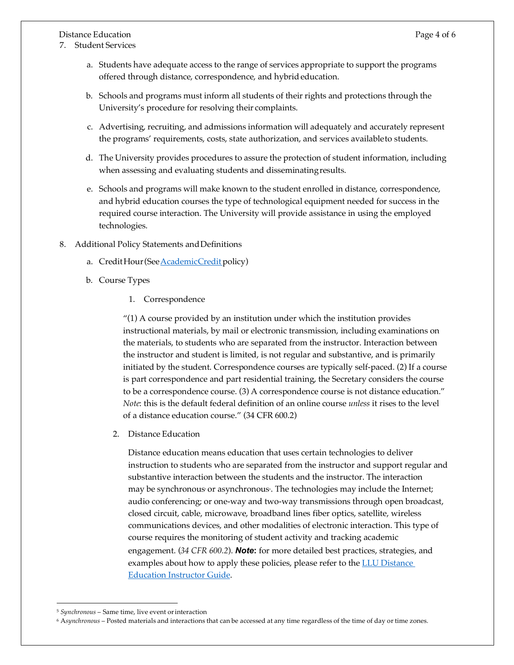Distance Education **Page 4 of 6** 

- 7. Student Services
	- a. Students have adequate access to the range of services appropriate to support the programs offered through distance, correspondence, and hybrideducation.
	- b. Schools and programs must inform all students of their rights and protections through the University's procedure for resolving their complaints.
	- c. Advertising, recruiting, and admissions information will adequately and accurately represent the programs' requirements, costs, state authorization, and services availableto students.
	- d. The University provides procedures to assure the protection of student information, including when assessing and evaluating students and disseminatingresults.
	- e. Schools and programs will make known to the student enrolled in distance, correspondence, and hybrid education courses the type of technological equipment needed for success in the required course interaction. The University will provide assistance in using the employed technologies.
- 8. Additional Policy Statements and Definitions
	- a. CreditHour(See AcademicCredit policy)
	- b. Course Types
		- 1. Correspondence

"(1) A course provided by an institution under which the institution provides instructional materials, by mail or electronic transmission, including examinations on the materials, to students who are separated from the instructor. Interaction between the instructor and student is limited, is not regular and substantive, and is primarily initiated by the student. Correspondence courses are typically self-paced. (2) If a course is part correspondence and part residential training, the Secretary considers the course to be a correspondence course. (3) A correspondence course is not distance education." *Note*: this is the default federal definition of an online course *unless* it rises to the level of a distance education course." (34 CFR 600.2)

2. Distance Education

Distance education means education that uses certain technologies to deliver instruction to students who are separated from the instructor and support regular and substantive interaction between the students and the instructor. The interaction may be synchronous or asynchronous<sup>.</sup> The technologies may include the Internet; audio conferencing; or one-way and two-way transmissions through open broadcast, closed circuit, cable, microwave, broadband lines fiber optics, satellite, wireless communications devices, and other modalities of electronic interaction. This type of course requires the monitoring of student activity and tracking academic engagement. (*34 CFR 600.2*). *Note***:** for more detailed best practices, strategies, and examples about how to apply these policies, please refer to the **LLU** Distance Education Instructor Guide.

 $\overline{a}$ 

<sup>5</sup> *Synchronous* – Same time, live event orinteraction

<sup>6</sup> A*synchronous* – Posted materials and interactions that can be accessed at any time regardless of the time of day or time zones.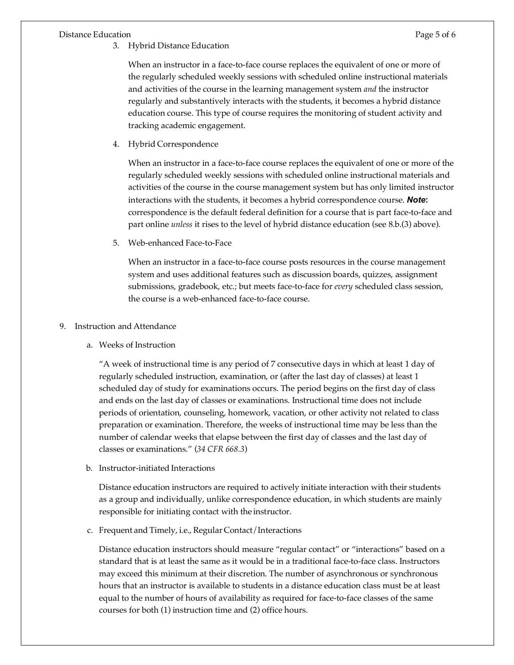## Distance Education **Page 5 of 6**

3. Hybrid Distance Education

When an instructor in a face-to-face course replaces the equivalent of one or more of the regularly scheduled weekly sessions with scheduled online instructional materials and activities of the course in the learning management system *and* the instructor regularly and substantively interacts with the students, it becomes a hybrid distance education course. This type of course requires the monitoring of student activity and tracking academic engagement.

4. Hybrid Correspondence

When an instructor in a face-to-face course replaces the equivalent of one or more of the regularly scheduled weekly sessions with scheduled online instructional materials and activities of the course in the course management system but has only limited instructor interactions with the students, it becomes a hybrid correspondence course. *Note***:**  correspondence is the default federal definition for a course that is part face-to-face and part online *unless* it rises to the level of hybrid distance education (see 8.b.(3) above).

5. Web-enhanced Face-to-Face

When an instructor in a face-to-face course posts resources in the course management system and uses additional features such as discussion boards, quizzes, assignment submissions, gradebook, etc.; but meets face-to-face for *every* scheduled class session, the course is a web-enhanced face-to-face course.

## 9. Instruction and Attendance

a. Weeks of Instruction

"A week of instructional time is any period of 7 consecutive days in which at least 1 day of regularly scheduled instruction, examination, or (after the last day of classes) at least 1 scheduled day of study for examinations occurs. The period begins on the first day of class and ends on the last day of classes or examinations. Instructional time does not include periods of orientation, counseling, homework, vacation, or other activity not related to class preparation or examination. Therefore, the weeks of instructional time may be less than the number of calendar weeks that elapse between the first day of classes and the last day of classes or examinations." (*34 CFR 668.3*)

b. Instructor-initiated Interactions

Distance education instructors are required to actively initiate interaction with their students as a group and individually, unlike correspondence education, in which students are mainly responsible for initiating contact with the instructor.

c. Frequent and Timely, i.e., Regular Contact / Interactions

Distance education instructors should measure "regular contact" or "interactions" based on a standard that is at least the same as it would be in a traditional face-to-face class. Instructors may exceed this minimum at their discretion. The number of asynchronous or synchronous hours that an instructor is available to students in a distance education class must be at least equal to the number of hours of availability as required for face-to-face classes of the same courses for both (1) instruction time and (2) office hours.